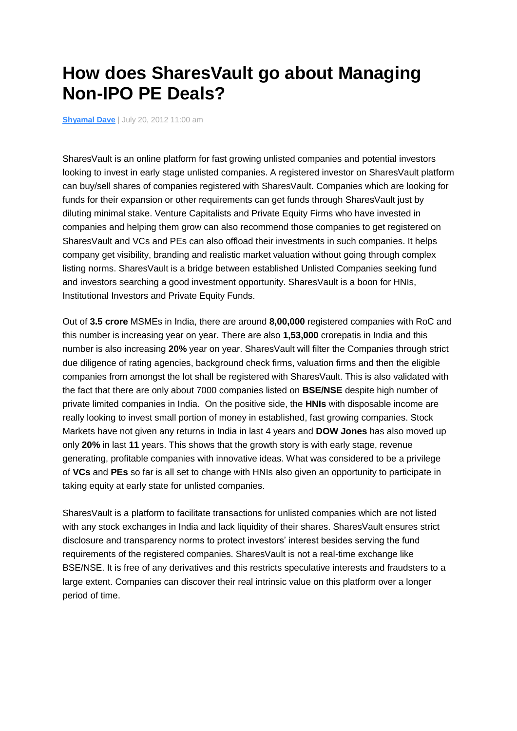## **How does SharesVault go about Managing Non-IPO PE Deals?**

**[Shyamal Dave](http://yourstory.in/author/shyamal-dave/)** | July 20, 2012 11:00 am

SharesVault is an online platform for fast growing unlisted companies and potential investors looking to invest in early stage unlisted companies. A registered investor on SharesVault platform can buy/sell shares of companies registered with SharesVault. Companies which are looking for funds for their expansion or other requirements can get funds through SharesVault just by diluting minimal stake. Venture Capitalists and Private Equity Firms who have invested in companies and helping them grow can also recommend those companies to get registered on SharesVault and VCs and PEs can also offload their investments in such companies. It helps company get visibility, branding and realistic market valuation without going through complex listing norms. SharesVault is a bridge between established Unlisted Companies seeking fund and investors searching a good investment opportunity. SharesVault is a boon for HNIs, Institutional Investors and Private Equity Funds.

Out of **3.5 crore** MSMEs in India, there are around **8,00,000** registered companies with RoC and this number is increasing year on year. There are also **1,53,000** crorepatis in India and this number is also increasing **20%** year on year. SharesVault will filter the Companies through strict due diligence of rating agencies, background check firms, valuation firms and then the eligible companies from amongst the lot shall be registered with SharesVault. This is also validated with the fact that there are only about 7000 companies listed on **BSE/NSE** despite high number of private limited companies in India. On the positive side, the **HNIs** with disposable income are really looking to invest small portion of money in established, fast growing companies. Stock Markets have not given any returns in India in last 4 years and **DOW Jones** has also moved up only **20%** in last **11** years. This shows that the growth story is with early stage, revenue generating, profitable companies with innovative ideas. What was considered to be a privilege of **VCs** and **PEs** so far is all set to change with HNIs also given an opportunity to participate in taking equity at early state for unlisted companies.

SharesVault is a platform to facilitate transactions for unlisted companies which are not listed with any stock exchanges in India and lack liquidity of their shares. SharesVault ensures strict disclosure and transparency norms to protect investors' interest besides serving the fund requirements of the registered companies. SharesVault is not a real-time exchange like BSE/NSE. It is free of any derivatives and this restricts speculative interests and fraudsters to a large extent. Companies can discover their real intrinsic value on this platform over a longer period of time.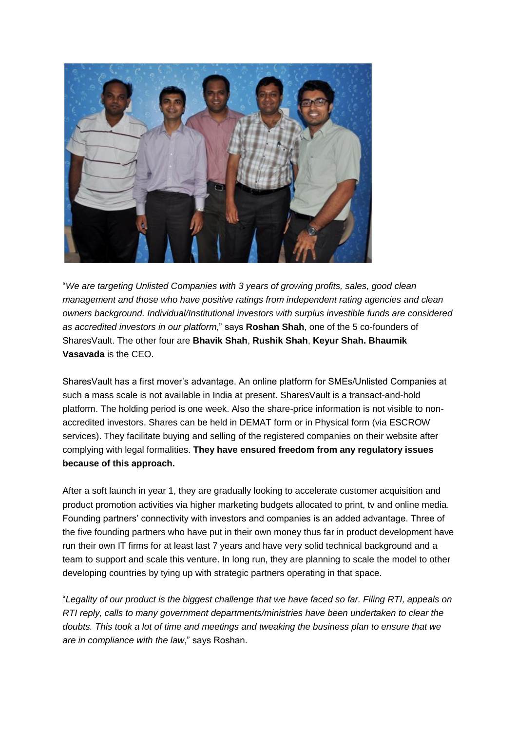

"*We are targeting Unlisted Companies with 3 years of growing profits, sales, good clean management and those who have positive ratings from independent rating agencies and clean owners background. Individual/Institutional investors with surplus investible funds are considered as accredited investors in our platform*," says **Roshan Shah**, one of the 5 co-founders of SharesVault. The other four are **Bhavik Shah**, **Rushik Shah**, **Keyur Shah. Bhaumik Vasavada** is the CEO.

SharesVault has a first mover's advantage. An online platform for SMEs/Unlisted Companies at such a mass scale is not available in India at present. SharesVault is a transact-and-hold platform. The holding period is one week. Also the share-price information is not visible to nonaccredited investors. Shares can be held in DEMAT form or in Physical form (via ESCROW services). They facilitate buying and selling of the registered companies on their website after complying with legal formalities. **They have ensured freedom from any regulatory issues because of this approach.** 

After a soft launch in year 1, they are gradually looking to accelerate customer acquisition and product promotion activities via higher marketing budgets allocated to print, tv and online media. Founding partners' connectivity with investors and companies is an added advantage. Three of the five founding partners who have put in their own money thus far in product development have run their own IT firms for at least last 7 years and have very solid technical background and a team to support and scale this venture. In long run, they are planning to scale the model to other developing countries by tying up with strategic partners operating in that space.

"Legality of our product is the biggest challenge that we have faced so far. Filing RTI, appeals on *RTI reply, calls to many government departments/ministries have been undertaken to clear the doubts. This took a lot of time and meetings and tweaking the business plan to ensure that we are in compliance with the law*," says Roshan.